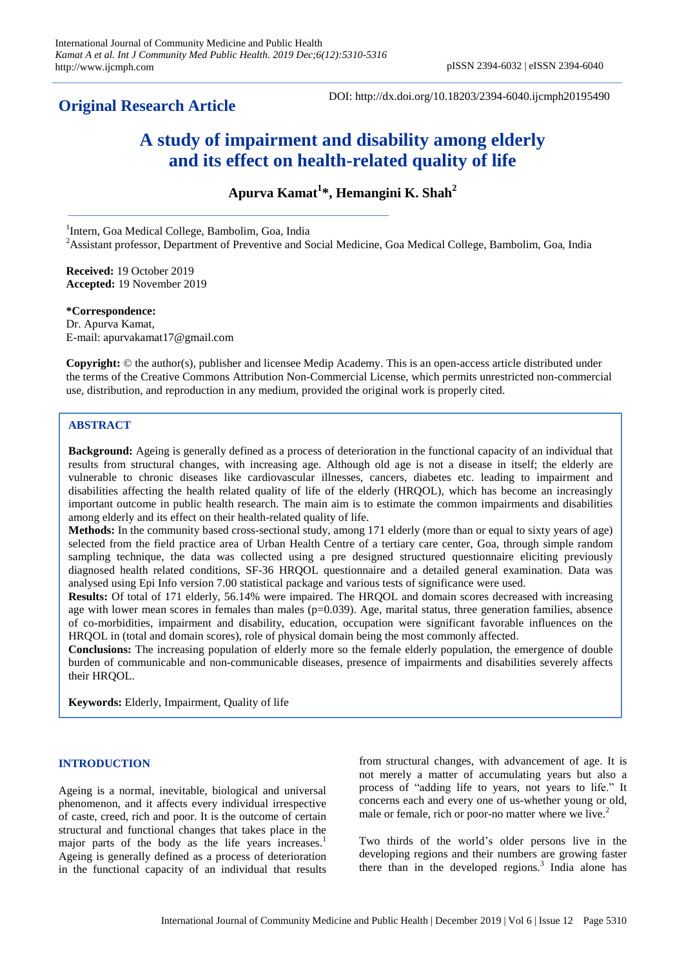# **Original Research Article**

DOI: http://dx.doi.org/10.18203/2394-6040.ijcmph20195490

# **A study of impairment and disability among elderly and its effect on health-related quality of life**

**Apurva Kamat<sup>1</sup> \*, Hemangini K. Shah<sup>2</sup>** 

<sup>1</sup>Intern, Goa Medical College, Bambolim, Goa, India <sup>2</sup>Assistant professor, Department of Preventive and Social Medicine, Goa Medical College, Bambolim, Goa, India

**Received:** 19 October 2019 **Accepted:** 19 November 2019

**\*Correspondence:** Dr. Apurva Kamat, E-mail: apurvakamat17@gmail.com

**Copyright:** © the author(s), publisher and licensee Medip Academy. This is an open-access article distributed under the terms of the Creative Commons Attribution Non-Commercial License, which permits unrestricted non-commercial use, distribution, and reproduction in any medium, provided the original work is properly cited.

# **ABSTRACT**

**Background:** Ageing is generally defined as a process of deterioration in the functional capacity of an individual that results from structural changes, with increasing age. Although old age is not a disease in itself; the elderly are vulnerable to chronic diseases like cardiovascular illnesses, cancers, diabetes etc. leading to impairment and disabilities affecting the health related quality of life of the elderly (HRQOL), which has become an increasingly important outcome in public health research. The main aim is to estimate the common impairments and disabilities among elderly and its effect on their health-related quality of life.

**Methods:** In the community based cross-sectional study, among 171 elderly (more than or equal to sixty years of age) selected from the field practice area of Urban Health Centre of a tertiary care center, Goa, through simple random sampling technique, the data was collected using a pre designed structured questionnaire eliciting previously diagnosed health related conditions, SF-36 HRQOL questionnaire and a detailed general examination. Data was analysed using Epi Info version 7.00 statistical package and various tests of significance were used.

**Results:** Of total of 171 elderly, 56.14% were impaired. The HRQOL and domain scores decreased with increasing age with lower mean scores in females than males  $(p=0.039)$ . Age, marital status, three generation families, absence of co-morbidities, impairment and disability, education, occupation were significant favorable influences on the HRQOL in (total and domain scores), role of physical domain being the most commonly affected.

**Conclusions:** The increasing population of elderly more so the female elderly population, the emergence of double burden of communicable and non-communicable diseases, presence of impairments and disabilities severely affects their HRQOL.

**Keywords:** Elderly, Impairment, Quality of life

# **INTRODUCTION**

Ageing is a normal, inevitable, biological and universal phenomenon, and it affects every individual irrespective of caste, creed, rich and poor. It is the outcome of certain structural and functional changes that takes place in the major parts of the body as the life years increases.<sup>1</sup> Ageing is generally defined as a process of deterioration in the functional capacity of an individual that results

from structural changes, with advancement of age. It is not merely a matter of accumulating years but also a process of "adding life to years, not years to life." It concerns each and every one of us-whether young or old, male or female, rich or poor-no matter where we live. $2^2$ 

Two thirds of the world's older persons live in the developing regions and their numbers are growing faster there than in the developed regions.<sup>3</sup> India alone has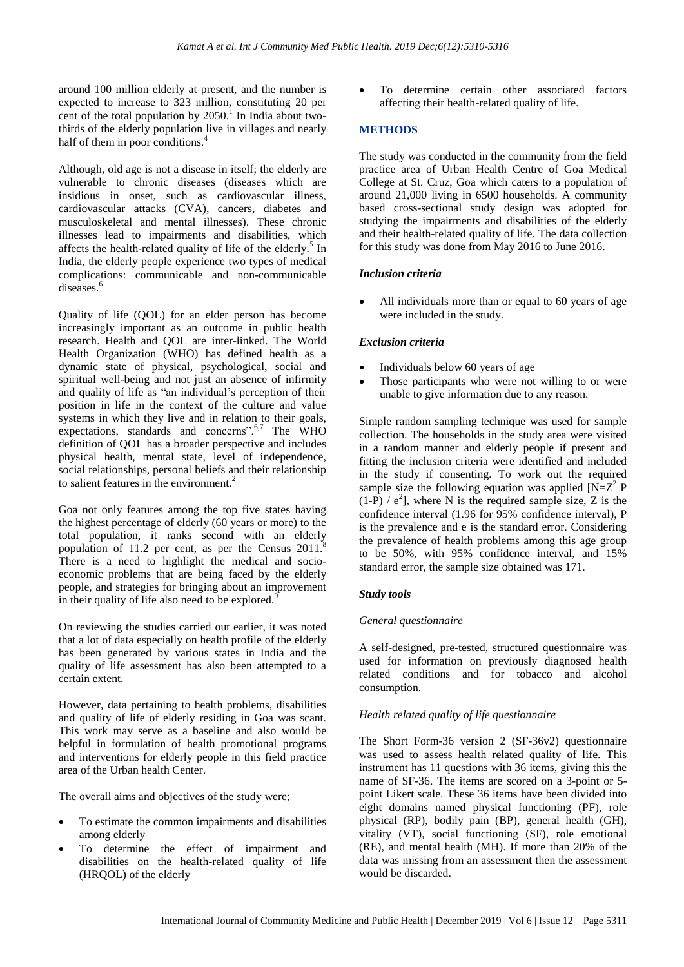around 100 million elderly at present, and the number is expected to increase to 323 million, constituting 20 per cent of the total population by  $2050<sup>1</sup>$  In India about twothirds of the elderly population live in villages and nearly half of them in poor conditions.<sup>4</sup>

Although, old age is not a disease in itself; the elderly are vulnerable to chronic diseases (diseases which are insidious in onset, such as cardiovascular illness, cardiovascular attacks (CVA), cancers, diabetes and musculoskeletal and mental illnesses). These chronic illnesses lead to impairments and disabilities, which affects the health-related quality of life of the elderly.<sup>5</sup> In India, the elderly people experience two types of medical complications: communicable and non-communicable diseases<sup>6</sup>

Quality of life (QOL) for an elder person has become increasingly important as an outcome in public health research. Health and QOL are inter-linked. The World Health Organization (WHO) has defined health as a dynamic state of physical, psychological, social and spiritual well-being and not just an absence of infirmity and quality of life as "an individual's perception of their position in life in the context of the culture and value systems in which they live and in relation to their goals, expectations, standards and concerns". $6,7$  The WHO definition of QOL has a broader perspective and includes physical health, mental state, level of independence, social relationships, personal beliefs and their relationship to salient features in the environment.<sup>2</sup>

Goa not only features among the top five states having the highest percentage of elderly (60 years or more) to the total population, it ranks second with an elderly population of 11.2 per cent, as per the Census  $2011$ .<sup>8</sup> There is a need to highlight the medical and socioeconomic problems that are being faced by the elderly people, and strategies for bringing about an improvement in their quality of life also need to be explored.<sup>9</sup>

On reviewing the studies carried out earlier, it was noted that a lot of data especially on health profile of the elderly has been generated by various states in India and the quality of life assessment has also been attempted to a certain extent.

However, data pertaining to health problems, disabilities and quality of life of elderly residing in Goa was scant. This work may serve as a baseline and also would be helpful in formulation of health promotional programs and interventions for elderly people in this field practice area of the Urban health Center.

The overall aims and objectives of the study were;

- To estimate the common impairments and disabilities among elderly
- To determine the effect of impairment and disabilities on the health-related quality of life (HRQOL) of the elderly

 To determine certain other associated factors affecting their health-related quality of life.

# **METHODS**

The study was conducted in the community from the field practice area of Urban Health Centre of Goa Medical College at St. Cruz, Goa which caters to a population of around 21,000 living in 6500 households. A community based cross-sectional study design was adopted for studying the impairments and disabilities of the elderly and their health-related quality of life. The data collection for this study was done from May 2016 to June 2016.

# *Inclusion criteria*

 All individuals more than or equal to 60 years of age were included in the study.

# *Exclusion criteria*

- Individuals below 60 years of age
- Those participants who were not willing to or were unable to give information due to any reason.

Simple random sampling technique was used for sample collection. The households in the study area were visited in a random manner and elderly people if present and fitting the inclusion criteria were identified and included in the study if consenting. To work out the required sample size the following equation was applied  $[N=Z^2]$  P  $(1-P) / e^2$ , where N is the required sample size, Z is the confidence interval (1.96 for 95% confidence interval), P is the prevalence and e is the standard error. Considering the prevalence of health problems among this age group to be 50%, with 95% confidence interval, and 15% standard error, the sample size obtained was 171.

# *Study tools*

# *General questionnaire*

A self-designed, pre-tested, structured questionnaire was used for information on previously diagnosed health related conditions and for tobacco and alcohol consumption.

# *Health related quality of life questionnaire*

The Short Form-36 version 2 (SF-36v2) questionnaire was used to assess health related quality of life. This instrument has 11 questions with 36 items, giving this the name of SF-36. The items are scored on a 3-point or 5 point Likert scale. These 36 items have been divided into eight domains named physical functioning (PF), role physical (RP), bodily pain (BP), general health (GH), vitality (VT), social functioning (SF), role emotional (RE), and mental health (MH). If more than 20% of the data was missing from an assessment then the assessment would be discarded.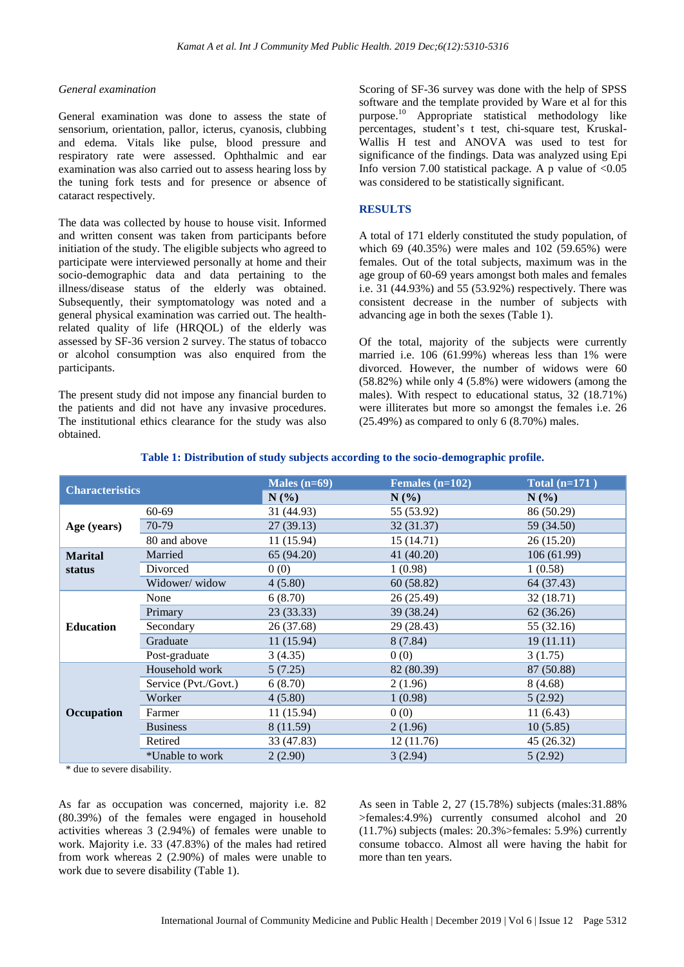#### *General examination*

General examination was done to assess the state of sensorium, orientation, pallor, icterus, cyanosis, clubbing and edema. Vitals like pulse, blood pressure and respiratory rate were assessed. Ophthalmic and ear examination was also carried out to assess hearing loss by the tuning fork tests and for presence or absence of cataract respectively.

The data was collected by house to house visit. Informed and written consent was taken from participants before initiation of the study. The eligible subjects who agreed to participate were interviewed personally at home and their socio-demographic data and data pertaining to the illness/disease status of the elderly was obtained. Subsequently, their symptomatology was noted and a general physical examination was carried out. The healthrelated quality of life (HRQOL) of the elderly was assessed by SF-36 version 2 survey. The status of tobacco or alcohol consumption was also enquired from the participants.

The present study did not impose any financial burden to the patients and did not have any invasive procedures. The institutional ethics clearance for the study was also obtained.

Scoring of SF-36 survey was done with the help of SPSS software and the template provided by Ware et al for this purpose.<sup>10</sup> Appropriate statistical methodology like percentages, student's t test, chi-square test, Kruskal-Wallis H test and ANOVA was used to test for significance of the findings. Data was analyzed using Epi Info version 7.00 statistical package. A p value of  $< 0.05$ was considered to be statistically significant.

#### **RESULTS**

A total of 171 elderly constituted the study population, of which 69 (40.35%) were males and 102 (59.65%) were females. Out of the total subjects, maximum was in the age group of 60-69 years amongst both males and females i.e. 31 (44.93%) and 55 (53.92%) respectively. There was consistent decrease in the number of subjects with advancing age in both the sexes (Table 1).

Of the total, majority of the subjects were currently married i.e. 106 (61.99%) whereas less than 1% were divorced. However, the number of widows were 60 (58.82%) while only 4 (5.8%) were widowers (among the males). With respect to educational status, 32 (18.71%) were illiterates but more so amongst the females i.e. 26  $(25.49\%)$  as compared to only 6  $(8.70\%)$  males.

| <b>Characteristics</b> |                      | Males $(n=69)$ | Females $(n=102)$ | Total $(n=171)$ |
|------------------------|----------------------|----------------|-------------------|-----------------|
|                        |                      | $N(\%)$        | $N(\%)$           | $N(\%)$         |
| Age (years)            | $60 - 69$            | 31 (44.93)     | 55 (53.92)        | 86 (50.29)      |
|                        | 70-79                | 27(39.13)      | 32 (31.37)        | 59 (34.50)      |
|                        | 80 and above         | 11(15.94)      | 15(14.71)         | 26 (15.20)      |
| <b>Marital</b>         | Married              | 65 (94.20)     | 41 (40.20)        | 106(61.99)      |
| status                 | Divorced             | 0(0)           | 1(0.98)           | 1(0.58)         |
|                        | Widower/widow        | 4(5.80)        | 60 (58.82)        | 64 (37.43)      |
| <b>Education</b>       | None                 | 6(8.70)        | 26 (25.49)        | 32 (18.71)      |
|                        | Primary              | 23(33.33)      | 39 (38.24)        | 62(36.26)       |
|                        | Secondary            | 26 (37.68)     | 29 (28.43)        | 55 (32.16)      |
|                        | Graduate             | 11(15.94)      | 8(7.84)           | 19(11.11)       |
|                        | Post-graduate        | 3(4.35)        | 0(0)              | 3(1.75)         |
| Occupation             | Household work       | 5(7.25)        | 82 (80.39)        | 87 (50.88)      |
|                        | Service (Pvt./Govt.) | 6(8.70)        | 2(1.96)           | 8(4.68)         |
|                        | Worker               | 4(5.80)        | 1(0.98)           | 5(2.92)         |
|                        | Farmer               | 11(15.94)      | 0(0)              | 11(6.43)        |
|                        | <b>Business</b>      | 8 (11.59)      | 2(1.96)           | 10(5.85)        |
|                        | Retired              | 33 (47.83)     | 12(11.76)         | 45 (26.32)      |
|                        | *Unable to work      | 2(2.90)        | 3(2.94)           | 5(2.92)         |

#### **Table 1: Distribution of study subjects according to the socio-demographic profile.**

\* due to severe disability.

As far as occupation was concerned, majority i.e. 82 (80.39%) of the females were engaged in household activities whereas 3 (2.94%) of females were unable to work. Majority i.e. 33 (47.83%) of the males had retired from work whereas 2 (2.90%) of males were unable to work due to severe disability (Table 1).

As seen in Table 2, 27 (15.78%) subjects (males:31.88% >females:4.9%) currently consumed alcohol and 20 (11.7%) subjects (males: 20.3%>females: 5.9%) currently consume tobacco. Almost all were having the habit for more than ten years.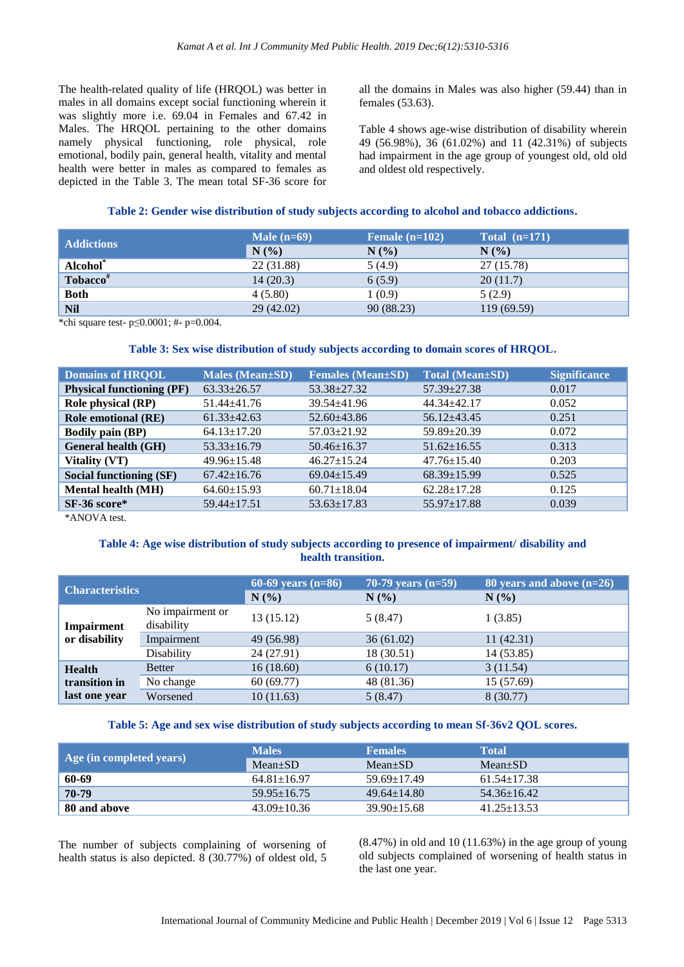The health-related quality of life (HRQOL) was better in males in all domains except social functioning wherein it was slightly more i.e. 69.04 in Females and 67.42 in Males. The HRQOL pertaining to the other domains namely physical functioning, role physical, role emotional, bodily pain, general health, vitality and mental health were better in males as compared to females as depicted in the Table 3. The mean total SF-36 score for all the domains in Males was also higher (59.44) than in females (53.63).

Table 4 shows age-wise distribution of disability wherein 49 (56.98%), 36 (61.02%) and 11 (42.31%) of subjects had impairment in the age group of youngest old, old old and oldest old respectively.

# **Table 2: Gender wise distribution of study subjects according to alcohol and tobacco addictions.**

| <b>Addictions</b>    | Male $(n=69)$ | Female $(n=102)$ | Total $(n=171)$ |
|----------------------|---------------|------------------|-----------------|
|                      | N(%)          | N(%              | N(%             |
| Alcohol <sup>*</sup> | 22 (31.88)    | 5(4.9)           | 27 (15.78)      |
| Tobacco <sup>#</sup> | 14(20.3)      | 6(5.9)           | 20(11.7)        |
| <b>Both</b>          | 4(5.80)       | 1 (0.9)          | 5(2.9)          |
| <b>Nil</b>           | 29(42.02)     | 90 (88.23)       | 119 (69.59)     |

\*chi square test- p≤0.0001; #- p=0.004.

# **Table 3: Sex wise distribution of study subjects according to domain scores of HRQOL.**

| <b>Domains of HROOL</b>                  | <b>Males (Mean±SD)</b> | <b>Females (Mean±SD)</b> | <b>Total (Mean±SD)</b> | <b>Significance</b> |
|------------------------------------------|------------------------|--------------------------|------------------------|---------------------|
| <b>Physical functioning (PF)</b>         | $63.33 \pm 26.57$      | $53.38 \pm 27.32$        | $57.39 \pm 27.38$      | 0.017               |
| <b>Role physical (RP)</b>                | $51.44 \pm 41.76$      | $39.54 \pm 41.96$        | $44.34 \pm 42.17$      | 0.052               |
| <b>Role emotional (RE)</b>               | $61.33 \pm 42.63$      | $52.60 \pm 43.86$        | $56.12 + 43.45$        | 0.251               |
| <b>Bodily pain (BP)</b>                  | $64.13 \pm 17.20$      | $57.03 \pm 21.92$        | $59.89 \pm 20.39$      | 0.072               |
| <b>General health (GH)</b>               | $53.33 \pm 16.79$      | $50.46 \pm 16.37$        | $51.62 \pm 16.55$      | 0.313               |
| <b>Vitality (VT)</b>                     | $49.96 \pm 15.48$      | $46.27 \pm 15.24$        | $47.76 \pm 15.40$      | 0.203               |
| Social functioning (SF)                  | $67.42 \pm 16.76$      | $69.04 \pm 15.49$        | $68.39 \pm 15.99$      | 0.525               |
| <b>Mental health (MH)</b>                | $64.60 \pm 15.93$      | $60.71 \pm 18.04$        | $62.28 \pm 17.28$      | 0.125               |
| SF-36 score*                             | $59.44 \pm 17.51$      | $53.63 \pm 17.83$        | $55.97 \pm 17.88$      | 0.039               |
| $\mathbf{a}$ . The state of $\mathbf{a}$ |                        |                          |                        |                     |

\*ANOVA test.

# **Table 4: Age wise distribution of study subjects according to presence of impairment/ disability and health transition.**

| <b>Characteristics</b>      |                                | 60-69 years $(n=86)$<br>N(% | 70-79 years $(n=59)$<br>N(%) | 80 years and above $(n=26)$<br>$N(\%)$ |
|-----------------------------|--------------------------------|-----------------------------|------------------------------|----------------------------------------|
| Impairment<br>or disability | No impairment or<br>disability | 13(15.12)                   | 5(8.47)                      | 1(3.85)                                |
|                             | Impairment                     | 49 (56.98)                  | 36(61.02)                    | 11(42.31)                              |
|                             | Disability                     | 24 (27.91)                  | 18 (30.51)                   | 14 (53.85)                             |
| <b>Health</b>               | <b>Better</b>                  | 16(18.60)                   | 6(10.17)                     | 3(11.54)                               |
| transition in               | No change                      | 60(69.77)                   | 48 (81.36)                   | 15 (57.69)                             |
| last one year               | Worsened                       | 10(11.63)                   | 5(8.47)                      | 8 (30.77)                              |

# **Table 5: Age and sex wise distribution of study subjects according to mean Sf-36v2 QOL scores.**

|                          | <b>Males</b>      | <b>Females</b>    | <b>Total</b>      |
|--------------------------|-------------------|-------------------|-------------------|
| Age (in completed years) | $Mean \pm SD$     | $Mean+SD$         | $Mean \pm SD$     |
| 60-69                    | $64.81 \pm 16.97$ | $59.69 \pm 17.49$ | $61.54 \pm 17.38$ |
| 70-79                    | $59.95 \pm 16.75$ | $49.64 \pm 14.80$ | $54.36 + 16.42$   |
| 80 and above             | $43.09 \pm 10.36$ | $39.90 \pm 15.68$ | $41.25 + 13.53$   |

The number of subjects complaining of worsening of health status is also depicted. 8 (30.77%) of oldest old, 5  $(8.47%)$  in old and 10  $(11.63%)$  in the age group of young old subjects complained of worsening of health status in the last one year.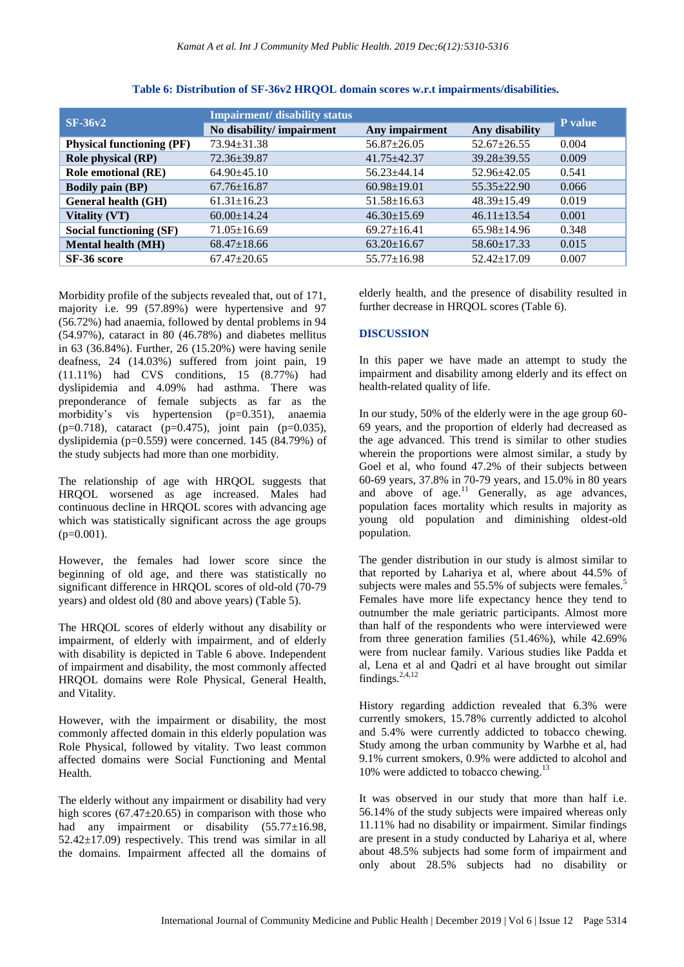| $SF-36v2$                        | <b>Impairment/ disability status</b> |                   |                   |         |
|----------------------------------|--------------------------------------|-------------------|-------------------|---------|
|                                  | No disability/impairment             | Any impairment    | Any disability    | P value |
| <b>Physical functioning (PF)</b> | 73.94±31.38                          | $56.87 \pm 26.05$ | $52.67 \pm 26.55$ | 0.004   |
| <b>Role physical (RP)</b>        | $72.36 \pm 39.87$                    | $41.75 + 42.37$   | $39.28 + 39.55$   | 0.009   |
| <b>Role emotional (RE)</b>       | $64.90 + 45.10$                      | $56.23 + 44.14$   | $52.96 \pm 42.05$ | 0.541   |
| <b>Bodily pain (BP)</b>          | $67.76 \pm 16.87$                    | $60.98 \pm 19.01$ | $55.35 + 22.90$   | 0.066   |
| <b>General health (GH)</b>       | $61.31 \pm 16.23$                    | $51.58 \pm 16.63$ | $48.39 \pm 15.49$ | 0.019   |
| Vitality (VT)                    | $60.00 \pm 14.24$                    | $46.30 \pm 15.69$ | $46.11 \pm 13.54$ | 0.001   |
| Social functioning (SF)          | $71.05 \pm 16.69$                    | $69.27 \pm 16.41$ | $65.98 \pm 14.96$ | 0.348   |
| <b>Mental health (MH)</b>        | $68.47 \pm 18.66$                    | $63.20 \pm 16.67$ | $58.60 \pm 17.33$ | 0.015   |
| SF-36 score                      | $67.47 \pm 20.65$                    | $55.77 \pm 16.98$ | $52.42 \pm 17.09$ | 0.007   |

## **Table 6: Distribution of SF-36v2 HRQOL domain scores w.r.t impairments/disabilities.**

Morbidity profile of the subjects revealed that, out of 171, majority i.e. 99 (57.89%) were hypertensive and 97 (56.72%) had anaemia, followed by dental problems in 94 (54.97%), cataract in 80 (46.78%) and diabetes mellitus in 63 (36.84%). Further, 26 (15.20%) were having senile deafness, 24 (14.03%) suffered from joint pain, 19 (11.11%) had CVS conditions, 15 (8.77%) had dyslipidemia and 4.09% had asthma. There was preponderance of female subjects as far as the morbidity's vis hypertension (p=0.351), anaemia  $(p=0.718)$ , cataract  $(p=0.475)$ , joint pain  $(p=0.035)$ , dyslipidemia (p=0.559) were concerned. 145 (84.79%) of the study subjects had more than one morbidity.

The relationship of age with HRQOL suggests that HRQOL worsened as age increased. Males had continuous decline in HRQOL scores with advancing age which was statistically significant across the age groups  $(p=0.001)$ .

However, the females had lower score since the beginning of old age, and there was statistically no significant difference in HROOL scores of old-old (70-79) years) and oldest old (80 and above years) (Table 5).

The HRQOL scores of elderly without any disability or impairment, of elderly with impairment, and of elderly with disability is depicted in Table 6 above. Independent of impairment and disability, the most commonly affected HRQOL domains were Role Physical, General Health, and Vitality.

However, with the impairment or disability, the most commonly affected domain in this elderly population was Role Physical, followed by vitality. Two least common affected domains were Social Functioning and Mental Health.

The elderly without any impairment or disability had very high scores  $(67.47 \pm 20.65)$  in comparison with those who had any impairment or disability (55.77±16.98,  $52.42 \pm 17.09$ ) respectively. This trend was similar in all the domains. Impairment affected all the domains of elderly health, and the presence of disability resulted in further decrease in HRQOL scores (Table 6).

#### **DISCUSSION**

In this paper we have made an attempt to study the impairment and disability among elderly and its effect on health-related quality of life.

In our study, 50% of the elderly were in the age group 60- 69 years, and the proportion of elderly had decreased as the age advanced. This trend is similar to other studies wherein the proportions were almost similar, a study by Goel et al, who found 47.2% of their subjects between 60-69 years, 37.8% in 70-79 years, and 15.0% in 80 years and above of  $age<sup>11</sup>$  Generally, as age advances, population faces mortality which results in majority as young old population and diminishing oldest-old population.

The gender distribution in our study is almost similar to that reported by Lahariya et al, where about 44.5% of subjects were males and 55.5% of subjects were females.<sup>5</sup> Females have more life expectancy hence they tend to outnumber the male geriatric participants. Almost more than half of the respondents who were interviewed were from three generation families (51.46%), while 42.69% were from nuclear family. Various studies like Padda et al, Lena et al and Qadri et al have brought out similar findings.2,4,12

History regarding addiction revealed that 6.3% were currently smokers, 15.78% currently addicted to alcohol and 5.4% were currently addicted to tobacco chewing. Study among the urban community by Warbhe et al, had 9.1% current smokers, 0.9% were addicted to alcohol and 10% were addicted to tobacco chewing.<sup>13</sup>

It was observed in our study that more than half i.e. 56.14% of the study subjects were impaired whereas only 11.11% had no disability or impairment. Similar findings are present in a study conducted by Lahariya et al, where about 48.5% subjects had some form of impairment and only about 28.5% subjects had no disability or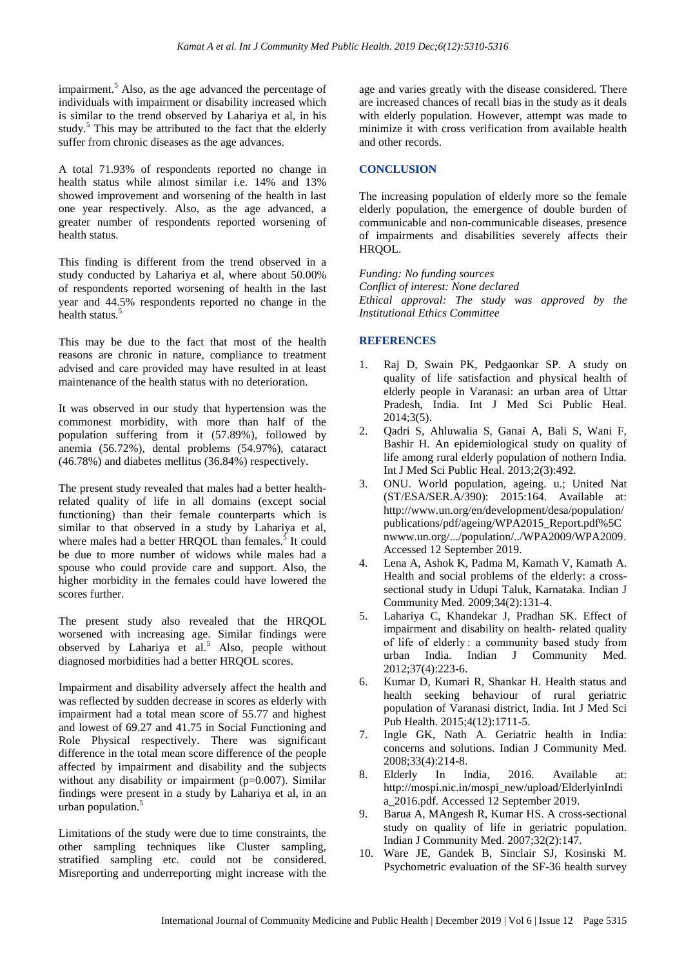impairment.<sup>5</sup> Also, as the age advanced the percentage of individuals with impairment or disability increased which is similar to the trend observed by Lahariya et al, in his study. $5$  This may be attributed to the fact that the elderly suffer from chronic diseases as the age advances.

A total 71.93% of respondents reported no change in health status while almost similar i.e. 14% and 13% showed improvement and worsening of the health in last one year respectively. Also, as the age advanced, a greater number of respondents reported worsening of health status.

This finding is different from the trend observed in a study conducted by Lahariya et al, where about 50.00% of respondents reported worsening of health in the last year and 44.5% respondents reported no change in the health status.<sup>5</sup>

This may be due to the fact that most of the health reasons are chronic in nature, compliance to treatment advised and care provided may have resulted in at least maintenance of the health status with no deterioration.

It was observed in our study that hypertension was the commonest morbidity, with more than half of the population suffering from it (57.89%), followed by anemia (56.72%), dental problems (54.97%), cataract (46.78%) and diabetes mellitus (36.84%) respectively.

The present study revealed that males had a better healthrelated quality of life in all domains (except social functioning) than their female counterparts which is similar to that observed in a study by Lahariya et al, where males had a better HRQOL than females. $\frac{5}{3}$  It could be due to more number of widows while males had a spouse who could provide care and support. Also, the higher morbidity in the females could have lowered the scores further.

The present study also revealed that the HRQOL worsened with increasing age. Similar findings were observed by Lahariya et al. <sup>5</sup> Also, people without diagnosed morbidities had a better HRQOL scores.

Impairment and disability adversely affect the health and was reflected by sudden decrease in scores as elderly with impairment had a total mean score of 55.77 and highest and lowest of 69.27 and 41.75 in Social Functioning and Role Physical respectively. There was significant difference in the total mean score difference of the people affected by impairment and disability and the subjects without any disability or impairment  $(p=0.007)$ . Similar findings were present in a study by Lahariya et al, in an urban population.<sup>5</sup>

Limitations of the study were due to time constraints, the other sampling techniques like Cluster sampling, stratified sampling etc. could not be considered. Misreporting and underreporting might increase with the age and varies greatly with the disease considered. There are increased chances of recall bias in the study as it deals with elderly population. However, attempt was made to minimize it with cross verification from available health and other records.

## **CONCLUSION**

The increasing population of elderly more so the female elderly population, the emergence of double burden of communicable and non-communicable diseases, presence of impairments and disabilities severely affects their HRQOL.

*Funding: No funding sources Conflict of interest: None declared Ethical approval: The study was approved by the Institutional Ethics Committee*

# **REFERENCES**

- 1. Raj D, Swain PK, Pedgaonkar SP. A study on quality of life satisfaction and physical health of elderly people in Varanasi: an urban area of Uttar Pradesh, India. Int J Med Sci Public Heal. 2014;3(5).
- 2. Qadri S, Ahluwalia S, Ganai A, Bali S, Wani F, Bashir H. An epidemiological study on quality of life among rural elderly population of nothern India. Int J Med Sci Public Heal. 2013;2(3):492.
- 3. ONU. World population, ageing. u.; United Nat (ST/ESA/SER.A/390): 2015:164. Available at: http://www.un.org/en/development/desa/population/ publications/pdf/ageing/WPA2015\_Report.pdf%5C nwww.un.org/.../population/../WPA2009/WPA2009. Accessed 12 September 2019.
- 4. Lena A, Ashok K, Padma M, Kamath V, Kamath A. Health and social problems of the elderly: a crosssectional study in Udupi Taluk, Karnataka. Indian J Community Med. 2009;34(2):131-4.
- 5. Lahariya C, Khandekar J, Pradhan SK. Effect of impairment and disability on health- related quality of life of elderly : a community based study from urban India. Indian J Community Med. 2012;37(4):223-6.
- 6. Kumar D, Kumari R, Shankar H. Health status and health seeking behaviour of rural geriatric population of Varanasi district, India. Int J Med Sci Pub Health. 2015;4(12):1711-5.
- 7. Ingle GK, Nath A. Geriatric health in India: concerns and solutions. Indian J Community Med. 2008;33(4):214-8.
- 8. Elderly In India, 2016. Available at: http://mospi.nic.in/mospi\_new/upload/ElderlyinIndi a\_2016.pdf. Accessed 12 September 2019.
- 9. Barua A, MAngesh R, Kumar HS. A cross-sectional study on quality of life in geriatric population. Indian J Community Med. 2007;32(2):147.
- 10. Ware JE, Gandek B, Sinclair SJ, Kosinski M. Psychometric evaluation of the SF-36 health survey